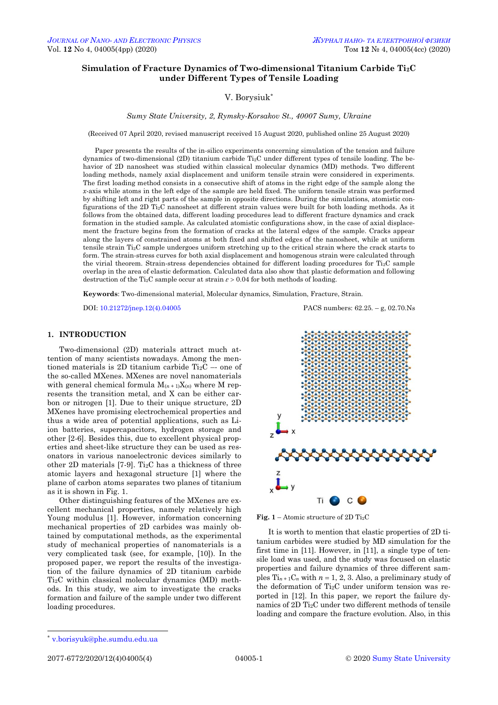# **Simulation of Fracture Dynamics of Two-dimensional Titanium Carbide Ti2C under Different Types of Tensile Loading**

# V. Borysiuk\*

*Sumy State University, 2, Rymsky-Korsakov St., 40007 Sumy, Ukraine*

(Received 07 April 2020, revised manuscript received 15 August 2020, published online 25 August 2020)

Paper presents the results of the in-silico experiments concerning simulation of the tension and failure dynamics of two-dimensional (2D) titanium carbide Ti2C under different types of tensile loading. The behavior of 2D nanosheet was studied within classical molecular dynamics (MD) methods. Two different loading methods, namely axial displacement and uniform tensile strain were considered in experiments. The first loading method consists in a consecutive shift of atoms in the right edge of the sample along the *x*-axis while atoms in the left edge of the sample are held fixed. The uniform tensile strain was performed by shifting left and right parts of the sample in opposite directions. During the simulations, atomistic configurations of the 2D Ti2C nanosheet at different strain values were built for both loading methods. As it follows from the obtained data, different loading procedures lead to different fracture dynamics and crack formation in the studied sample. As calculated atomistic configurations show, in the case of axial displacement the fracture begins from the formation of cracks at the lateral edges of the sample. Cracks appear along the layers of constrained atoms at both fixed and shifted edges of the nanosheet, while at uniform tensile strain Ti2C sample undergoes uniform stretching up to the critical strain where the crack starts to form. The strain-stress curves for both axial displacement and homogenous strain were calculated through the virial theorem. Strain-stress dependencies obtained for different loading procedures for Ti2C sample overlap in the area of elastic deformation. Calculated data also show that plastic deformation and following destruction of the Ti<sub>2</sub>C sample occur at strain  $\varepsilon > 0.04$  for both methods of loading.

**Keywords**: Two-dimensional material, Molecular dynamics, Simulation, Fracture, Strain.

DOI[: 10.21272/jnep.12\(4\).04005](https://doi.org/10.21272/jnep.12(4).04005) PACS numbers: 62.25. – g, 02.70.Ns

# **1. INTRODUCTION**

Two-dimensional (2D) materials attract much attention of many scientists nowadays. Among the mentioned materials is 2D titanium carbide  $Ti<sub>2</sub>C$  – one of the so-called MXenes. MXenes are novel nanomaterials with general chemical formula  $M_{(n+1)}X_{(n)}$  where M represents the transition metal, and X can be either carbon or nitrogen [1]. Due to their unique structure, 2D MXenes have promising electrochemical properties and thus a wide area of potential applications, such as Liion batteries, supercapacitors, hydrogen storage and other [2-6]. Besides this, due to excellent physical properties and sheet-like structure they can be used as resonators in various nanoelectronic devices similarly to other 2D materials [7-9]. Ti2C has a thickness of three atomic layers and hexagonal structure [1] where the plane of carbon atoms separates two planes of titanium as it is shown in Fig. 1.

Other distinguishing features of the MXenes are excellent mechanical properties, namely relatively high Young modulus [1]. However, information concerning mechanical properties of 2D carbides was mainly obtained by computational methods, as the experimental study of mechanical properties of nanomaterials is a very complicated task (see, for example, [10]). In the proposed paper, we report the results of the investigation of the failure dynamics of 2D titanium carbide Ti2C within classical molecular dynamics (MD) methods. In this study, we aim to investigate the cracks formation and failure of the sample under two different loading procedures.



**Fig.**  $1 -$ Atomic structure of 2D Ti<sub>2</sub>C

It is worth to mention that elastic properties of 2D titanium carbides were studied by MD simulation for the first time in [11]. However, in [11], a single type of tensile load was used, and the study was focused on elastic properties and failure dynamics of three different samples  $\text{Ti}_{n+1}\text{C}_n$  with  $n = 1, 2, 3$ . Also, a preliminary study of the deformation of Ti2C under uniform tension was reported in [12]. In this paper, we report the failure dynamics of 2D Ti2C under two different methods of tensile loading and compare the fracture evolution. Also, in this

 $\overline{a}$ 

<span id="page-0-3"></span><span id="page-0-2"></span><span id="page-0-1"></span><span id="page-0-0"></span>

<sup>\*</sup> [v.borisyuk@phe.sumdu.edu.ua](mailto:v.borisyuk@phe.sumdu.edu.ua)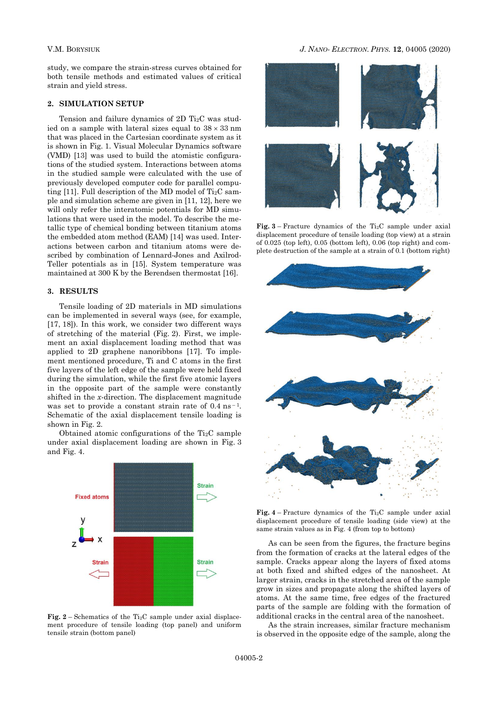study, we compare the strain-stress curves obtained for both tensile methods and estimated values of critical strain and yield stress.

#### **2. SIMULATION SETUP**

Tension and failure dynamics of  $2D$  Ti<sub>2</sub>C was studied on a sample with lateral sizes equal to  $38 \times 33$  nm that was placed in the Cartesian coordinate system as it is shown in Fig. 1. Visual Molecular Dynamics software (VMD) [13] was used to build the atomistic configurations of the studied system. Interactions between atoms in the studied sample were calculated with the use of previously developed computer code for parallel computing [11]. Full description of the MD model of  $Ti<sub>2</sub>C$  sample and simulation scheme are given in [11, 12], here we will only refer the interatomic potentials for MD simulations that were used in the model. To describe the metallic type of chemical bonding between titanium atoms the embedded atom method (EAM) [14] was used. Interactions between carbon and titanium atoms were described by combination of Lennard-Jones and Axilrod-Teller potentials as in [15]. System temperature was maintained at 300 K by the Berendsen thermostat [16].

#### **3. RESULTS**

Tensile loading of 2D materials in MD simulations can be implemented in several ways (see, for example, [17, 18]). In this work, we consider two different ways of stretching of the material (Fig. 2). First, we implement an axial displacement loading method that was applied to 2D graphene nanoribbons [17]. To implement mentioned procedure, Ti and C atoms in the first five layers of the left edge of the sample were held fixed during the simulation, while the first five atomic layers in the opposite part of the sample were constantly shifted in the *x*-direction. The displacement magnitude was set to provide a constant strain rate of  $0.4 \text{ ns}^{-1}$ . Schematic of the axial displacement tensile loading is shown in Fig. 2.

Obtained atomic configurations of the Ti2C sample under axial displacement loading are shown in Fig. 3 and Fig. 4.



**Fig.**  $2$  – Schematics of the Ti<sub>2</sub>C sample under axial displacement procedure of tensile loading (top panel) and uniform tensile strain (bottom panel)



**Fig.**  $3$  – Fracture dynamics of the Ti<sub>2</sub>C sample under axial displacement procedure of tensile loading (top view) at a strain of 0.025 (top left), 0.05 (bottom left), 0.06 (top right) and complete destruction of the sample at a strain of 0.1 (bottom right)



**Fig.**  $4$  – Fracture dynamics of the Ti<sub>2</sub>C sample under axial displacement procedure of tensile loading (side view) at the same strain values as in Fig. 4 (from top to bottom)

As can be seen from the figures, the fracture begins from the formation of cracks at the lateral edges of the sample. Cracks appear along the layers of fixed atoms at both fixed and shifted edges of the nanosheet. At larger strain, cracks in the stretched area of the sample grow in sizes and propagate along the shifted layers of atoms. At the same time, free edges of the fractured parts of the sample are folding with the formation of additional cracks in the central area of the nanosheet.

As the strain increases, similar fracture mechanism is observed in the opposite edge of the sample, along the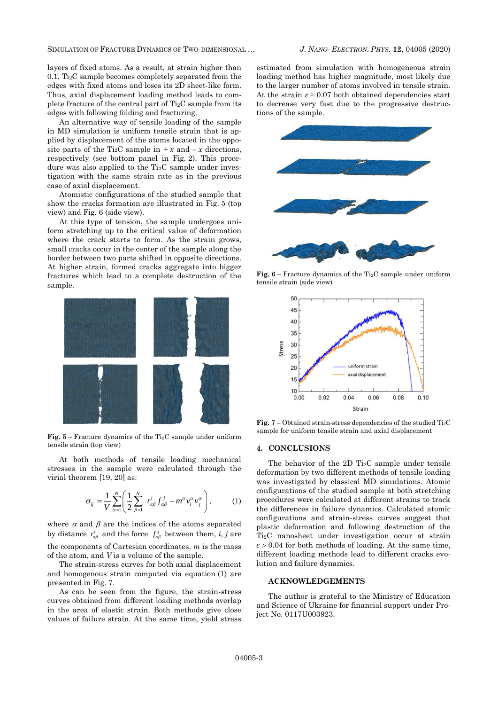SIMULATION OF FRACTURE DYNAMICS OF TWO-DIMENSIONAL … *J. NANO- ELECTRON. PHYS.* **[12](#page-0-2)**, [04005](#page-0-2) [\(2020\)](#page-0-2)

layers of fixed atoms. As a result, at strain higher than 0.1, Ti2C sample becomes completely separated from the edges with fixed atoms and loses its 2D sheet-like form. Thus, axial displacement loading method leads to complete fracture of the central part of Ti2C sample from its edges with following folding and fracturing.

An alternative way of tensile loading of the sample in MD simulation is uniform tensile strain that is applied by displacement of the atoms located in the opposite parts of the Ti<sub>2</sub>C sample in  $+x$  and  $-x$  directions, respectively (see bottom panel in Fig. 2). This procedure was also applied to the  $Ti<sub>2</sub>C$  sample under investigation with the same strain rate as in the previous case of axial displacement.

Atomistic configurations of the studied sample that show the cracks formation are illustrated in Fig. 5 (top view) and Fig. 6 (side view).

At this type of tension, the sample undergoes uniform stretching up to the critical value of deformation where the crack starts to form. As the strain grows, small cracks occur in the center of the sample along the border between two parts shifted in opposite directions. At higher strain, formed cracks aggregate into bigger fractures which lead to a complete destruction of the sample.



**Fig.**  $5$  – Fracture dynamics of the Ti<sub>2</sub>C sample under uniform tensile strain (top view)

At both methods of tensile loading mechanical stresses in the sample were calculated through the virial theorem [19, 20] as:

$$
\sigma_{ij} = \frac{1}{V} \sum_{\alpha=1}^{N} \left( \frac{1}{2} \sum_{\beta=1}^{N} r_{\alpha\beta}^{i} f_{\alpha\beta}^{j} - m^{\alpha} v_{i}^{\alpha} v_{j}^{\alpha} \right), \qquad (1)
$$

where  $\alpha$  and  $\beta$  are the indices of the atoms separated by distance  $r_{\alpha\beta}^i$  and the force  $f_{\alpha\beta}^j$  between them, *i*, *j* are the components of Cartesian coordinates, *m* is the mass of the atom, and *V* is a volume of the sample.

The strain-stress curves for both axial displacement and homogenous strain computed via equation (1) are presented in Fig. 7.

As can be seen from the figure, the strain-stress curves obtained from different loading methods overlap in the area of elastic strain. Both methods give close values of failure strain. At the same time, yield stress

estimated from simulation with homogeneous strain loading method has higher magnitude, most likely due to the larger number of atoms involved in tensile strain. At the strain  $\varepsilon \approx 0.07$  both obtained dependencies start to decrease very fast due to the progressive destructions of the sample.



**Fig.**  $6$  – Fracture dynamics of the Ti<sub>2</sub>C sample under uniform tensile strain (side view)



**Fig.**  $7$  – Obtained strain-stress dependencies of the studied Ti<sub>2</sub>C sample for uniform tensile strain and axial displacement

### **4. CONCLUSIONS**

The behavior of the 2D Ti2C sample under tensile deformation by two different methods of tensile loading was investigated by classical MD simulations. Atomic configurations of the studied sample at both stretching procedures were calculated at different strains to track the differences in failure dynamics. Calculated atomic configurations and strain-stress curves suggest that plastic deformation and following destruction of the Ti2C nanosheet under investigation occur at strain  $\varepsilon$  > 0.04 for both methods of loading. At the same time, different loading methods lead to different cracks evolution and failure dynamics.

### **ACKNOWLEDGEMENTS**

The author is grateful to the Ministry of Education and Science of Ukraine for financial support under Project No. 0117U003923.